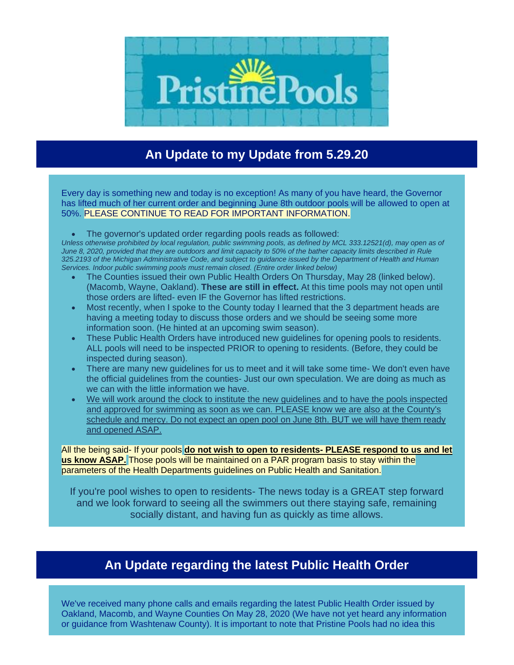

## **An Update to my Update from 5.29.20**

Every day is something new and today is no exception! As many of you have heard, the Governor has lifted much of her current order and beginning June 8th outdoor pools will be allowed to open at 50%. PLEASE CONTINUE TO READ FOR IMPORTANT INFORMATION.

• The governor's updated order regarding pools reads as followed:

*Unless otherwise prohibited by local regulation, public swimming pools, as defined by MCL 333.12521(d), may open as of June 8, 2020, provided that they are outdoors and limit capacity to 50% of the bather capacity limits described in Rule 325.2193 of the Michigan Administrative Code, and subject to guidance issued by the Department of Health and Human Services. Indoor public swimming pools must remain closed. (Entire order linked below)*

- The Counties issued their own Public Health Orders On Thursday, May 28 (linked below). (Macomb, Wayne, Oakland). **These are still in effect.** At this time pools may not open until those orders are lifted- even IF the Governor has lifted restrictions.
- Most recently, when I spoke to the County today I learned that the 3 department heads are having a meeting today to discuss those orders and we should be seeing some more information soon. (He hinted at an upcoming swim season).
- These Public Health Orders have introduced new guidelines for opening pools to residents. ALL pools will need to be inspected PRIOR to opening to residents. (Before, they could be inspected during season).
- There are many new guidelines for us to meet and it will take some time- We don't even have the official guidelines from the counties- Just our own speculation. We are doing as much as we can with the little information we have.
- We will work around the clock to institute the new guidelines and to have the pools inspected and approved for swimming as soon as we can. PLEASE know we are also at the County's schedule and mercy. Do not expect an open pool on June 8th. BUT we will have them ready and opened ASAP.

All the being said- If your pools **do not wish to open to residents- PLEASE respond to us and let us know ASAP.** Those pools will be maintained on a PAR program basis to stay within the parameters of the Health Departments guidelines on Public Health and Sanitation.

If you're pool wishes to open to residents- The news today is a GREAT step forward and we look forward to seeing all the swimmers out there staying safe, remaining socially distant, and having fun as quickly as time allows.

## **An Update regarding the latest Public Health Order**

We've received many phone calls and emails regarding the latest Public Health Order issued by Oakland, Macomb, and Wayne Counties On May 28, 2020 (We have not yet heard any information or guidance from Washtenaw County). It is important to note that Pristine Pools had no idea this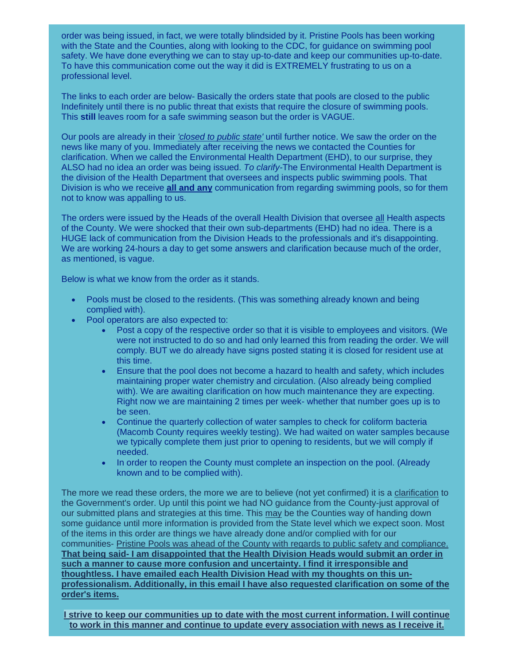order was being issued, in fact, we were totally blindsided by it. Pristine Pools has been working with the State and the Counties, along with looking to the CDC, for guidance on swimming pool safety. We have done everything we can to stay up-to-date and keep our communities up-to-date. To have this communication come out the way it did is EXTREMELY frustrating to us on a professional level.

The links to each order are below- Basically the orders state that pools are closed to the public Indefinitely until there is no public threat that exists that require the closure of swimming pools. This **still** leaves room for a safe swimming season but the order is VAGUE.

Our pools are already in their *'closed to public state'* until further notice. We saw the order on the news like many of you. Immediately after receiving the news we contacted the Counties for clarification. When we called the Environmental Health Department (EHD), to our surprise, they ALSO had no idea an order was being issued. *To clarify-*The Environmental Health Department is the division of the Health Department that oversees and inspects public swimming pools. That Division is who we receive **all and any** communication from regarding swimming pools, so for them not to know was appalling to us.

The orders were issued by the Heads of the overall Health Division that oversee all Health aspects of the County. We were shocked that their own sub-departments (EHD) had no idea. There is a HUGE lack of communication from the Division Heads to the professionals and it's disappointing. We are working 24-hours a day to get some answers and clarification because much of the order, as mentioned, is vague.

Below is what we know from the order as it stands.

- Pools must be closed to the residents. (This was something already known and being complied with).
- Pool operators are also expected to:
	- Post a copy of the respective order so that it is visible to employees and visitors. (We were not instructed to do so and had only learned this from reading the order. We will comply. BUT we do already have signs posted stating it is closed for resident use at this time.
	- Ensure that the pool does not become a hazard to health and safety, which includes maintaining proper water chemistry and circulation. (Also already being complied with). We are awaiting clarification on how much maintenance they are expecting. Right now we are maintaining 2 times per week- whether that number goes up is to be seen.
	- Continue the quarterly collection of water samples to check for coliform bacteria (Macomb County requires weekly testing). We had waited on water samples because we typically complete them just prior to opening to residents, but we will comply if needed.
	- In order to reopen the County must complete an inspection on the pool. (Already known and to be complied with).

The more we read these orders, the more we are to believe (not yet confirmed) it is a clarification to the Government's order. Up until this point we had NO guidance from the County-just approval of our submitted plans and strategies at this time. This may be the Counties way of handing down some guidance until more information is provided from the State level which we expect soon. Most of the items in this order are things we have already done and/or complied with for our communities- Pristine Pools was ahead of the County with regards to public safety and compliance. **That being said- I am disappointed that the Health Division Heads would submit an order in such a manner to cause more confusion and uncertainty. I find it irresponsible and thoughtless. I have emailed each Health Division Head with my thoughts on this unprofessionalism. Additionally, in this email I have also requested clarification on some of the order's items.**

**I strive to keep our communities up to date with the most current information. I will continue to work in this manner and continue to update every association with news as I receive it.**